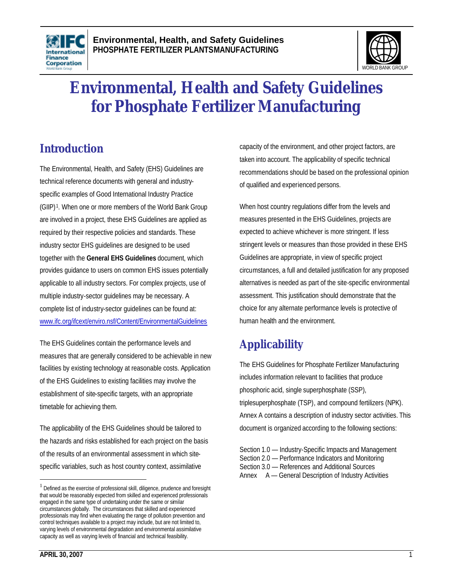



# **Environmental, Health and Safety Guidelines for Phosphate Fertilizer Manufacturing**

## **Introduction**

The Environmental, Health, and Safety (EHS) Guidelines are technical reference documents with general and industryspecific examples of Good International Industry Practice (GIIP) <sup>1</sup> . When one or more members of the World Bank Group are involved in a project, these EHS Guidelines are applied as required by their respective policies and standards. These industry sector EHS guidelines are designed to be used together with the **General EHS Guidelines** document, which provides guidance to users on common EHS issues potentially applicable to all industry sectors. For complex projects, use of multiple industry-sector guidelines may be necessary. A complete list of industry-sector guidelines can be found at: www.ifc.org/ifcext/enviro.nsf/Content/EnvironmentalGuidelines

The EHS Guidelines contain the performance levels and measures that are generally considered to be achievable in new facilities by existing technology at reasonable costs. Application of the EHS Guidelines to existing facilities may involve the establishment of site-specific targets, with an appropriate timetable for achieving them.

The applicability of the EHS Guidelines should be tailored to the hazards and risks established for each project on the basis of the results of an environmental assessment in which sitespecific variables, such as host country context, assimilative

capacity of the environment, and other project factors, are taken into account. The applicability of specific technical recommendations should be based on the professional opinion of qualified and experienced persons.

When host country regulations differ from the levels and measures presented in the EHS Guidelines, projects are expected to achieve whichever is more stringent. If less stringent levels or measures than those provided in these EHS Guidelines are appropriate, in view of specific project circumstances, a full and detailed justification for any proposed alternatives is needed as part of the site-specific environmental assessment. This justification should demonstrate that the choice for any alternate performance levels is protective of human health and the environment.

## **Applicability**

The EHS Guidelines for Phosphate Fertilizer Manufacturing includes information relevant to facilities that produce phosphoric acid, single superphosphate (SSP), triplesuperphosphate (TSP), and compound fertilizers (NPK). Annex A contains a description of industry sector activities. This document is organized according to the following sections:

Section 1.0 — Industry-Specific Impacts and Management Section 2.0 — Performance Indicators and Monitoring Section 3.0 — References and Additional Sources Annex A — General Description of Industry Activities

<sup>&</sup>lt;sup>1</sup> Defined as the exercise of professional skill, diligence, prudence and foresight that would be reasonably expected from skilled and experienced professionals engaged in the same type of undertaking under the same or similar circumstances globally. The circumstances that skilled and experienced professionals may find when evaluating the range of pollution prevention and control techniques available to a project may include, but are not limited to, varying levels of environmental degradation and environmental assimilative capacity as well as varying levels of financial and technical feasibility.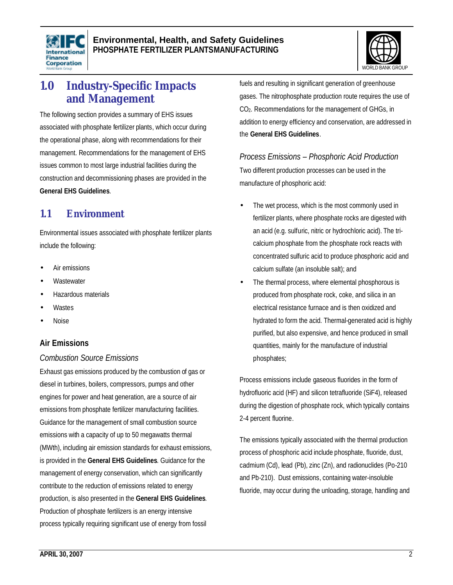



## **1.0 Industry-Specific Impacts and Management**

The following section provides a summary of EHS issues associated with phosphate fertilizer plants, which occur during the operational phase, along with recommendations for their management. Recommendations for the management of EHS issues common to most large industrial facilities during the construction and decommissioning phases are provided in the **General EHS Guidelines**.

### **1.1 Environment**

Environmental issues associated with phosphate fertilizer plants include the following:

- Air emissions
- **Wastewater**
- Hazardous materials
- **Wastes**
- Noise

#### **Air Emissions**

#### *Combustion Source Emissions*

Exhaust gas emissions produced by the combustion of gas or diesel in turbines, boilers, compressors, pumps and other engines for power and heat generation, are a source of air emissions from phosphate fertilizer manufacturing facilities. Guidance for the management of small combustion source emissions with a capacity of up to 50 megawatts thermal (MWth), including air emission standards for exhaust emissions, is provided in the **General EHS Guidelines**. Guidance for the management of energy conservation, which can significantly contribute to the reduction of emissions related to energy production, is also presented in the **General EHS Guidelines**. Production of phosphate fertilizers is an energy intensive process typically requiring significant use of energy from fossil

fuels and resulting in significant generation of greenhouse gases. The nitrophosphate production route requires the use of CO2. Recommendations for the management of GHGs, in addition to energy efficiency and conservation, are addressed in the **General EHS Guidelines**.

*Process Emissions – Phosphoric Acid Production* Two different production processes can be used in the manufacture of phosphoric acid:

- The wet process, which is the most commonly used in fertilizer plants, where phosphate rocks are digested with an acid (e.g. sulfuric, nitric or hydrochloric acid). The tricalcium phosphate from the phosphate rock reacts with concentrated sulfuric acid to produce phosphoric acid and calcium sulfate (an insoluble salt); and
- The thermal process, where elemental phosphorous is produced from phosphate rock, coke, and silica in an electrical resistance furnace and is then oxidized and hydrated to form the acid. Thermal-generated acid is highly purified, but also expensive, and hence produced in small quantities, mainly for the manufacture of industrial phosphates;

Process emissions include gaseous fluorides in the form of hydrofluoric acid (HF) and silicon tetrafluoride (SiF4), released during the digestion of phosphate rock, which typically contains 2-4 percent fluorine.

The emissions typically associated with the thermal production process of phosphoric acid include phosphate, fluoride, dust, cadmium (Cd), lead (Pb), zinc (Zn), and radionuclides (Po-210 and Pb-210). Dust emissions, containing water-insoluble fluoride, may occur during the unloading, storage, handling and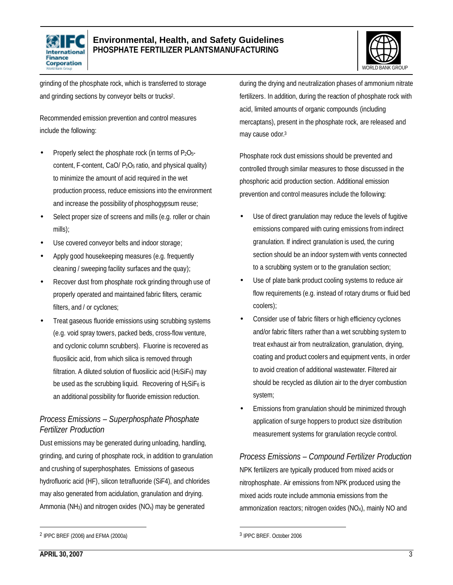



grinding of the phosphate rock, which is transferred to storage and grinding sections by conveyor belts or trucks<sup>2</sup> .

Recommended emission prevention and control measures include the following:

- Properly select the phosphate rock (in terms of P2O5 content, F-content, CaO/ P2O5 ratio, and physical quality) to minimize the amount of acid required in the wet production process, reduce emissions into the environment and increase the possibility of phosphogypsum reuse;
- Select proper size of screens and mills (e.g. roller or chain mills);
- Use covered conveyor belts and indoor storage;
- Apply good housekeeping measures (e.g. frequently cleaning / sweeping facility surfaces and the quay);
- Recover dust from phosphate rock grinding through use of properly operated and maintained fabric filters, ceramic filters, and / or cyclones;
- Treat gaseous fluoride emissions using scrubbing systems (e.g. void spray towers, packed beds, cross-flow venture, and cyclonic column scrubbers). Fluorine is recovered as fluosilicic acid, from which silica is removed through filtration. A diluted solution of fluosilicic acid ( $H_2SiF_6$ ) may be used as the scrubbing liquid. Recovering of  $H_2SIF_6$  is an additional possibility for fluoride emission reduction.

#### *Process Emissions – Superphosphate Phosphate Fertilizer Production*

Dust emissions may be generated during unloading, handling, grinding, and curing of phosphate rock, in addition to granulation and crushing of superphosphates. Emissions of gaseous hydrofluoric acid (HF), silicon tetrafluoride (SiF4), and chlorides may also generated from acidulation, granulation and drying. Ammonia (NH3) and nitrogen oxides (NOx) may be generated

during the drying and neutralization phases of ammonium nitrate fertilizers. In addition, during the reaction of phosphate rock with acid, limited amounts of organic compounds (including mercaptans), present in the phosphate rock, are released and may cause odor.<sup>3</sup>

Phosphate rock dust emissions should be prevented and controlled through similar measures to those discussed in the phosphoric acid production section. Additional emission prevention and control measures include the following:

- Use of direct granulation may reduce the levels of fugitive emissions compared with curing emissions fromindirect granulation. If indirect granulation is used, the curing section should be an indoor systemwith vents connected to a scrubbing system or to the granulation section;
- Use of plate bank product cooling systems to reduce air flow requirements (e.g. instead of rotary drums or fluid bed coolers);
- Consider use of fabric filters or high efficiency cyclones and/or fabric filters rather than a wet scrubbing system to treat exhaust air from neutralization, granulation, drying, coating and product coolers and equipment vents, in order to avoid creation of additional wastewater. Filtered air should be recycled as dilution air to the dryer combustion system;
- Emissions from granulation should be minimized through application of surge hoppers to product size distribution measurement systems for granulation recycle control.

*Process Emissions – Compound Fertilizer Production* NPK fertilizers are typically produced from mixed acids or nitrophosphate. Air emissions from NPK produced using the mixed acids route include ammonia emissions from the ammonization reactors; nitrogen oxides  $(NO<sub>X</sub>)$ , mainly NO and

 $\overline{a}$ 

<sup>2</sup> IPPC BREF (2006) and EFMA (2000a)

<sup>3</sup> IPPC BREF. October 2006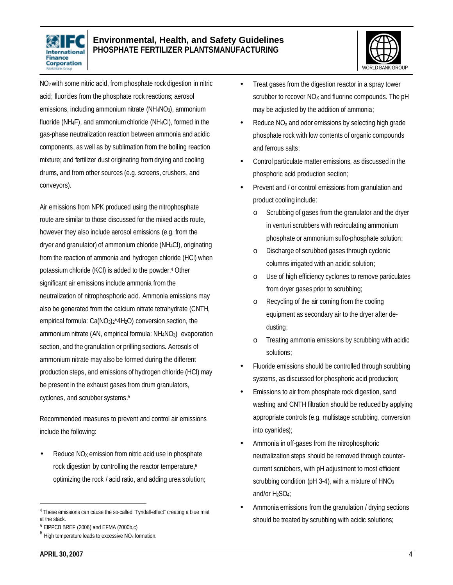



NO2 with some nitric acid, from phosphate rock digestion in nitric acid; fluorides from the phosphate rock reactions; aerosol emissions, including ammonium nitrate (NH4NO3), ammonium fluoride (NH4F), and ammoniumchloride (NH4Cl), formed in the gas-phase neutralization reaction between ammonia and acidic components, as well as by sublimation from the boiling reaction mixture; and fertilizer dust originating fromdrying and cooling drums, and from other sources (e.g. screens, crushers, and conveyors).

Air emissions from NPK produced using the nitrophosphate route are similar to those discussed for the mixed acids route, however they also include aerosol emissions (e.g. from the dryer and granulator) of ammonium chloride (NH4Cl), originating from the reaction of ammonia and hydrogen chloride (HCl) when potassium chloride (KCl) is added to the powder. <sup>4</sup> Other significant air emissions include ammonia from the neutralization of nitrophosphoric acid. Ammonia emissions may also be generated from the calcium nitrate tetrahydrate (CNTH, empirical formula: Ca(NO<sub>3</sub>)<sub>2</sub>\*4H<sub>2</sub>O) conversion section, the ammonium nitrate (AN, empirical formula: NH<sub>4</sub>NO<sub>3</sub>) evaporation section, and the granulation or prilling sections. Aerosols of ammonium nitrate may also be formed during the different production steps, and emissions of hydrogen chloride (HCl) may be present in the exhaust gases from drum granulators, cyclones, and scrubber systems. 5

Recommended measures to prevent and control air emissions include the following:

Reduce  $NO<sub>X</sub>$  emission from nitric acid use in phosphate rock digestion by controlling the reactor temperature, 6 optimizing the rock / acid ratio, and adding urea solution;

- Treat gases from the digestion reactor in a spray tower scrubber to recover  $NO<sub>X</sub>$  and fluorine compounds. The pH may be adjusted by the addition of ammonia;
- Reduce NO<sub>x</sub> and odor emissions by selecting high grade phosphate rock with low contents of organic compounds and ferrous salts;
- Control particulate matter emissions, as discussed in the phosphoric acid production section;
- Prevent and / or control emissions from granulation and product cooling include:
	- o Scrubbing of gases from the granulator and the dryer in venturi scrubbers with recirculating ammonium phosphate or ammonium sulfo-phosphate solution;
	- o Discharge of scrubbed gases through cyclonic columns irrigated with an acidic solution;
	- o Use of high efficiency cyclones to remove particulates from dryer gases prior to scrubbing;
	- Recycling of the air coming from the cooling equipment as secondary air to the dryer after dedusting;
	- o Treating ammonia emissions by scrubbing with acidic solutions;
- Fluoride emissions should be controlled through scrubbing systems, as discussed for phosphoric acid production;
- Emissions to air from phosphate rock digestion, sand washing and CNTH filtration should be reduced by applying appropriate controls (e.g. multistage scrubbing, conversion into cyanides);
- Ammonia in off-gases from the nitrophosphoric neutralization steps should be removed through countercurrent scrubbers, with pH adjustment to most efficient scrubbing condition ( $pH$  3-4), with a mixture of  $HNO<sub>3</sub>$ and/or H<sub>2</sub>SO<sub>4</sub>;
- Ammonia emissions from the granulation / drying sections should be treated by scrubbing with acidic solutions;

<sup>4</sup> These emissions can cause the so-called "Tyndall-effect" creating a blue mist at the stack.

<sup>5</sup> EIPPCB BREF (2006) and EFMA (2000b,c)

 $<sup>6</sup>$  High temperature leads to excessive NO<sub>x</sub> formation.</sup>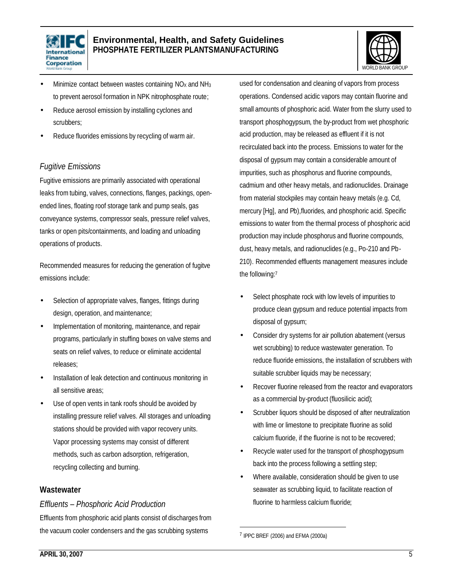



- Minimize contact between wastes containing NO<sub>x</sub> and NH<sub>3</sub> to prevent aerosol formation in NPK nitrophosphate route;
- Reduce aerosol emission by installing cyclones and scrubbers;
- Reduce fluorides emissions by recycling of warm air.

#### *Fugitive Emissions*

Fugitive emissions are primarily associated with operational leaks from tubing, valves, connections, flanges, packings, openended lines, floating roof storage tank and pump seals, gas conveyance systems, compressor seals, pressure relief valves, tanks or open pits/containments, and loading and unloading operations of products.

Recommended measures for reducing the generation of fugitve emissions include:

- Selection of appropriate valves, flanges, fittings during design, operation, and maintenance;
- Implementation of monitoring, maintenance, and repair programs, particularly in stuffing boxes on valve stems and seats on relief valves, to reduce or eliminate accidental releases;
- Installation of leak detection and continuous monitoring in all sensitive areas;
- Use of open vents in tank roofs should be avoided by installing pressure relief valves. All storages and unloading stations should be provided with vapor recovery units. Vapor processing systems may consist of different methods, such as carbon adsorption, refrigeration, recycling collecting and burning.

#### **Wastewater**

#### *Effluents – Phosphoric Acid Production*

Effluents from phosphoric acid plants consist of discharges from the vacuum cooler condensers and the gas scrubbing systems

used for condensation and cleaning of vapors from process operations. Condensed acidic vapors may contain fluorine and small amounts of phosphoric acid. Water from the slurry used to transport phosphogypsum, the by-product from wet phosphoric acid production, may be released as effluent if it is not recirculated back into the process. Emissions to water for the disposal of gypsum may contain a considerable amount of impurities, such as phosphorus and fluorine compounds, cadmium and other heavy metals, and radionuclides. Drainage from material stockpiles may contain heavy metals (e.g. Cd, mercury [Hg], and Pb),fluorides, and phosphoric acid. Specific emissions to water from the thermal process of phosphoric acid production may include phosphorus and fluorine compounds, dust, heavy metals, and radionuclides (e.g., Po-210 and Pb-210). Recommended effluents management measures include the following: 7

- Select phosphate rock with low levels of impurities to produce clean gypsum and reduce potential impacts from disposal of gypsum;
- Consider dry systems for air pollution abatement (versus wet scrubbing) to reduce wastewater generation. To reduce fluoride emissions, the installation of scrubbers with suitable scrubber liquids may be necessary;
- Recover fluorine released from the reactor and evaporators as a commercial by-product (fluosilicic acid);
- Scrubber liquors should be disposed of after neutralization with lime or limestone to precipitate fluorine as solid calcium fluoride, if the fluorine is not to be recovered;
- Recycle water used for the transport of phosphogypsum back into the process following a settling step;
- Where available, consideration should be given to use seawater as scrubbing liquid, to facilitate reaction of fluorine to harmless calcium fluoride;

1

<sup>7</sup> IPPC BREF (2006) and EFMA (2000a)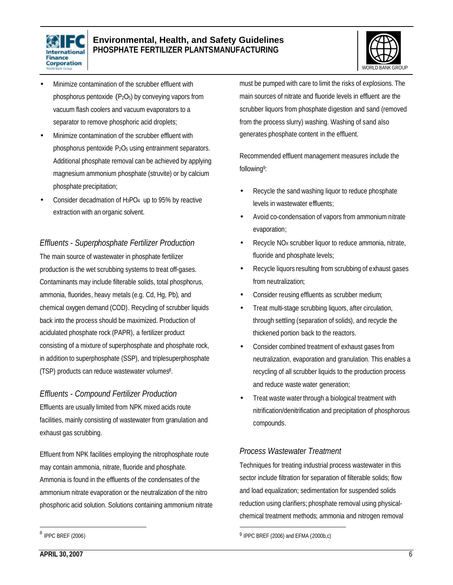



- Minimize contamination of the scrubber effluent with phosphorus pentoxide  $(P_2O_5)$  by conveying vapors from vacuum flash coolers and vacuum evaporators to a separator to remove phosphoric acid droplets;
- Minimize contamination of the scrubber effluent with phosphorus pentoxide P2O5 using entrainment separators. Additional phosphate removal can be achieved by applying magnesium ammonium phosphate (struvite) or by calcium phosphate precipitation;
- Consider decadmation of H3PO4 up to 95% by reactive extraction with an organic solvent.

#### *Effluents - Superphosphate Fertilizer Production*

The main source of wastewater in phosphate fertilizer production is the wet scrubbing systems to treat off-gases. Contaminants may include filterable solids, total phosphorus, ammonia, fluorides, heavy metals (e.g. Cd, Hg, Pb), and chemical oxygen demand (COD). Recycling of scrubber liquids back into the process should be maximized. Production of acidulated phosphate rock (PAPR), a fertilizer product consisting of a mixture of superphosphate and phosphate rock, in addition to superphosphate (SSP), and triplesuperphosphate (TSP) products can reduce wastewater volumes<sup>8</sup> .

#### *Effluents - Compound Fertilizer Production*

Effluents are usually limited from NPK mixed acids route facilities, mainly consisting of wastewater from granulation and exhaust gas scrubbing.

Effluent from NPK facilities employing the nitrophosphate route may contain ammonia, nitrate, fluoride and phosphate. Ammonia is found in the effluents of the condensates of the ammonium nitrate evaporation or the neutralization of the nitro phosphoric acid solution. Solutions containing ammonium nitrate must be pumped with care to limit the risks of explosions. The main sources of nitrate and fluoride levels in effluent are the scrubber liquors from phosphate digestion and sand (removed from the process slurry) washing. Washing of sand also generates phosphate content in the effluent.

Recommended effluent management measures include the following<sup>9</sup>:

- Recycle the sand washing liquor to reduce phosphate levels in wastewater effluents;
- Avoid co-condensation of vapors from ammonium nitrate evaporation;
- Recycle NO<sub>x</sub> scrubber liquor to reduce ammonia, nitrate, fluoride and phosphate levels;
- Recycle liquors resulting from scrubbing of exhaust gases from neutralization;
- Consider reusing effluents as scrubber medium;
- Treat multi-stage scrubbing liquors, after circulation, through settling (separation of solids), and recycle the thickened portion back to the reactors.
- Consider combined treatment of exhaust gases from neutralization, evaporation and granulation. This enables a recycling of all scrubber liquids to the production process and reduce waste water generation;
- Treat waste water through a biological treatment with nitrification/denitrification and precipitation of phosphorous compounds.

#### *Process Wastewater Treatment*

Techniques for treating industrial process wastewater in this sector include filtration for separation of filterable solids; flow and load equalization; sedimentation for suspended solids reduction using clarifiers; phosphate removal using physicalchemical treatment methods; ammonia and nitrogen removal

<sup>&</sup>lt;sup>9</sup> IPPC BREF (2006) and EFMA (2000b,c)

 8 IPPC BREF (2006)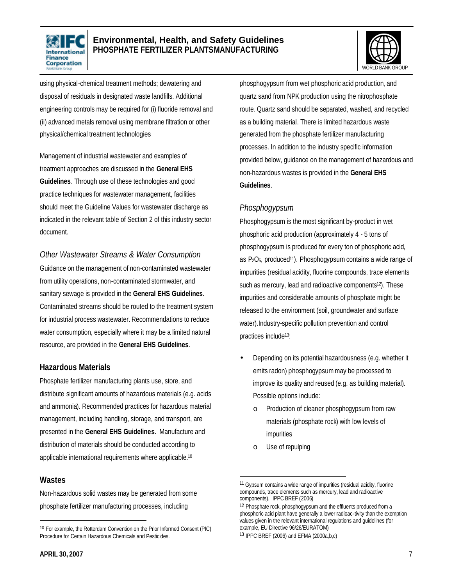



using physical-chemical treatment methods; dewatering and disposal of residuals in designated waste landfills. Additional engineering controls may be required for (i) fluoride removal and (ii) advanced metals removal using membrane filtration or other physical/chemical treatment technologies

Management of industrial wastewater and examples of treatment approaches are discussed in the **General EHS Guidelines**. Through use of these technologies and good practice techniques for wastewater management, facilities should meet the Guideline Values for wastewater discharge as indicated in the relevant table of Section 2 of this industry sector document.

#### *Other Wastewater Streams & Water Consumption*

Guidance on the management of non-contaminated wastewater from utility operations, non-contaminated stormwater, and sanitary sewage is provided in the **General EHS Guidelines**. Contaminated streams should be routed to the treatment system for industrial process wastewater. Recommendations to reduce water consumption, especially where it may be a limited natural resource, are provided in the **General EHS Guidelines**.

#### **Hazardous Materials**

Phosphate fertilizer manufacturing plants use, store, and distribute significant amounts of hazardous materials (e.g. acids and ammonia). Recommended practices for hazardous material management, including handling, storage, and transport, are presented in the **General EHS Guidelines**. Manufacture and distribution of materials should be conducted according to applicable international requirements where applicable.<sup>10</sup>

#### **Wastes**

 $\overline{a}$ 

Non-hazardous solid wastes may be generated from some phosphate fertilizer manufacturing processes, including

phosphogypsum from wet phosphoric acid production, and quartz sand from NPK production using the nitrophosphate route. Quartz sand should be separated, washed, and recycled as a building material. There is limited hazardous waste generated from the phosphate fertilizer manufacturing processes. In addition to the industry specific information provided below, guidance on the management of hazardous and non-hazardous wastes is provided in the **General EHS Guidelines**.

#### *Phosphogypsum*

Phosphogypsum is the most significant by-product in wet phosphoric acid production (approximately 4 - 5 tons of phosphogypsum is produced for every ton of phosphoric acid, as P<sub>2</sub>O<sub>5</sub>, produced<sup>11</sup>). Phosphogypsum contains a wide range of impurities (residual acidity, fluorine compounds, trace elements such as mercury, lead and radioactive components<sup>12</sup>). These impurities and considerable amounts of phosphate might be released to the environment (soil, groundwater and surface water).Industry-specific pollution prevention and control practices include13:

- Depending on its potential hazardousness (e.g. whether it emits radon) phosphogypsum may be processed to improve its quality and reused (e.g. as building material). Possible options include:
	- o Production of cleaner phosphogypsum from raw materials (phosphate rock) with low levels of impurities
	- o Use of repulping

l

<sup>10</sup> For example, the Rotterdam Convention on the Prior Informed Consent (PIC) Procedure for Certain Hazardous Chemicals and Pesticides.

<sup>&</sup>lt;sup>11</sup> Gypsum contains a wide range of impurities (residual acidity, fluorine compounds, trace elements such as mercury, lead and radioactive components). IPPC BREF (2006)

<sup>&</sup>lt;sup>12</sup> Phosphate rock, phosphogypsum and the effluents produced from a phosphoric acid plant have generally a lower radioac-tivity than the exemption values given in the relevant international regulations and guidelines (for example, EU Directive 96/26/EURATOM)

<sup>13</sup> IPPC BREF (2006) and EFMA (2000a,b,c)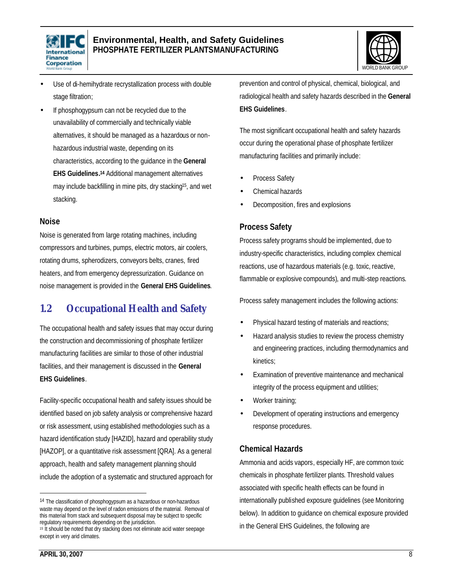



- Use of di-hemihydrate recrystallization process with double stage filtration;
- If phosphogypsum can not be recycled due to the unavailability of commercially and technically viable alternatives, it should be managed as a hazardous or nonhazardous industrial waste, depending on its characteristics, according to the guidance in the **General EHS Guidelines. <sup>14</sup>** Additional management alternatives may include backfilling in mine pits, dry stacking15, and wet stacking.

#### **Noise**

Noise is generated from large rotating machines, including compressors and turbines, pumps, electric motors, air coolers, rotating drums, spherodizers, conveyors belts, cranes, fired heaters, and from emergency depressurization. Guidance on noise management is provided in the **General EHS Guidelines**.

### **1.2 Occupational Health and Safety**

The occupational health and safety issues that may occur during the construction and decommissioning of phosphate fertilizer manufacturing facilities are similar to those of other industrial facilities, and their management is discussed in the **General EHS Guidelines**.

Facility-specific occupational health and safety issues should be identified based on job safety analysis or comprehensive hazard or risk assessment, using established methodologies such as a hazard identification study [HAZID], hazard and operability study [HAZOP], or a quantitative risk assessment [QRA]. As a general approach, health and safety management planning should include the adoption of a systematic and structured approach for prevention and control of physical, chemical, biological, and radiological health and safety hazards described in the **General EHS Guidelines**.

The most significant occupational health and safety hazards occur during the operational phase of phosphate fertilizer manufacturing facilities and primarily include:

- Process Safety
- Chemical hazards
- Decomposition, fires and explosions

#### **Process Safety**

Process safety programs should be implemented, due to industry-specific characteristics, including complex chemical reactions, use of hazardous materials (e.g. toxic, reactive, flammable or explosive compounds), and multi-step reactions.

Process safety management includes the following actions:

- Physical hazard testing of materials and reactions;
- Hazard analysis studies to review the process chemistry and engineering practices, including thermodynamics and kinetics;
- Examination of preventive maintenance and mechanical integrity of the process equipment and utilities;
- Worker training;
- Development of operating instructions and emergency response procedures.

#### **Chemical Hazards**

Ammonia and acids vapors, especially HF, are common toxic chemicals in phosphate fertilizer plants. Threshold values associated with specific health effects can be found in internationally published exposure guidelines (see Monitoring below). In addition to guidance on chemical exposure provided in the General EHS Guidelines, the following are

<sup>&</sup>lt;sup>14</sup> The classification of phosphogypsum as a hazardous or non-hazardous waste may depend on the level of radon emissions of the material. Removal of this material from stack and subsequent disposal may be subject to specific regulatory requirements depending on the jurisdiction.

<sup>&</sup>lt;sup>15</sup> It should be noted that dry stacking does not eliminate acid water seepage except in very arid climates.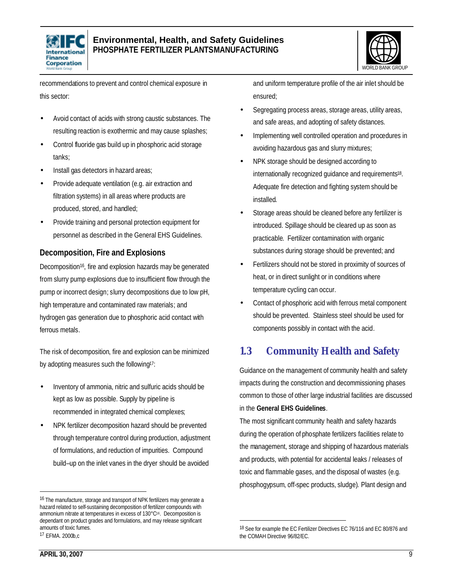



recommendations to prevent and control chemical exposure in this sector:

- Avoid contact of acids with strong caustic substances. The resulting reaction is exothermic and may cause splashes;
- Control fluoride gas build up in phosphoric acid storage tanks;
- Install gas detectors in hazard areas;
- Provide adequate ventilation (e.g. air extraction and filtration systems) in all areas where products are produced, stored, and handled;
- Provide training and personal protection equipment for personnel as described in the General EHS Guidelines.

#### **Decomposition, Fire and Explosions**

Decomposition<sup>16</sup>, fire and explosion hazards may be generated from slurry pump explosions due to insufficient flow through the pump or incorrect design; slurry decompositions due to low pH, high temperature and contaminated raw materials; and hydrogen gas generation due to phosphoric acid contact with ferrous metals.

The risk of decomposition, fire and explosion can be minimized by adopting measures such the following17:

- Inventory of ammonia, nitric and sulfuric acids should be kept as low as possible. Supply by pipeline is recommended in integrated chemical complexes;
- NPK fertilizer decomposition hazard should be prevented through temperature control during production, adjustment of formulations, and reduction of impurities. Compound build–up on the inlet vanes in the dryer should be avoided

17 EFMA. 2000b,c

 $\overline{a}$ 

and uniform temperature profile of the air inlet should be ensured;

- Segregating process areas, storage areas, utility areas, and safe areas, and adopting of safety distances.
- Implementing well controlled operation and procedures in avoiding hazardous gas and slurry mixtures;
- NPK storage should be designed according to internationally recognized guidance and requirements<sup>18</sup> . Adequate fire detection and fighting system should be installed.
- Storage areas should be cleaned before any fertilizer is introduced. Spillage should be cleared up as soon as practicable. Fertilizer contamination with organic substances during storage should be prevented; and
- Fertilizers should not be stored in proximity of sources of heat, or in direct sunlight or in conditions where temperature cycling can occur.
- Contact of phosphoric acid with ferrous metal component should be prevented. Stainless steel should be used for components possibly in contact with the acid.

## **1.3 Community Health and Safety**

Guidance on the management of community health and safety impacts during the construction and decommissioning phases common to those of other large industrial facilities are discussed in the **General EHS Guidelines**.

The most significant community health and safety hazards during the operation of phosphate fertilizers facilities relate to the management, storage and shipping of hazardous materials and products, with potential for accidental leaks / releases of toxic and flammable gases, and the disposal of wastes (e.g. phosphogypsum, off-spec products, sludge). Plant design and

<sup>16</sup> The manufacture, storage and transport of NPK fertilizers may generate a hazard related to self-sustaining decomposition of fertilizer compounds with ammonium nitrate at temperatures in excess of 130°C16. Decomposition is dependant on product grades and formulations, and may release significant amounts of toxic fumes.

<sup>&</sup>lt;sup>18</sup> See for example the EC Fertilizer Directives EC 76/116 and EC 80/876 and the COMAH Directive 96/82/EC.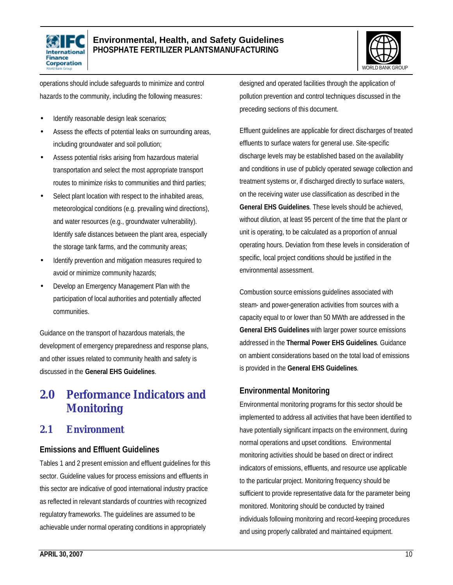



operations should include safeguards to minimize and control hazards to the community, including the following measures:

- Identify reasonable design leak scenarios;
- Assess the effects of potential leaks on surrounding areas, including groundwater and soil pollution;
- Assess potential risks arising from hazardous material transportation and select the most appropriate transport routes to minimize risks to communities and third parties;
- Select plant location with respect to the inhabited areas, meteorological conditions (e.g. prevailing wind directions), and water resources (e.g., groundwater vulnerability). Identify safe distances between the plant area, especially the storage tank farms, and the community areas;
- Identify prevention and mitigation measures required to avoid or minimize community hazards;
- Develop an Emergency Management Plan with the participation of local authorities and potentially affected communities.

Guidance on the transport of hazardous materials, the development of emergency preparedness and response plans, and other issues related to community health and safety is discussed in the **General EHS Guidelines**.

## **2.0 Performance Indicators and Monitoring**

### **2.1 Environment**

#### **Emissions and Effluent Guidelines**

Tables 1 and 2 present emission and effluent guidelines for this sector. Guideline values for process emissions and effluents in this sector are indicative of good international industry practice as reflected in relevant standards of countries with recognized regulatory frameworks. The guidelines are assumed to be achievable under normal operating conditions in appropriately

designed and operated facilities through the application of pollution prevention and control techniques discussed in the preceding sections of this document.

Effluent guidelines are applicable for direct discharges of treated effluents to surface waters for general use. Site-specific discharge levels may be established based on the availability and conditions in use of publicly operated sewage collection and treatment systems or, if discharged directly to surface waters, on the receiving water use classification as described in the **General EHS Guidelines**. These levels should be achieved, without dilution, at least 95 percent of the time that the plant or unit is operating, to be calculated as a proportion of annual operating hours. Deviation from these levels in consideration of specific, local project conditions should be justified in the environmental assessment.

Combustion source emissions guidelines associated with steam- and power-generation activities from sources with a capacity equal to or lower than 50 MWth are addressed in the **General EHS Guidelines** with larger power source emissions addressed in the **Thermal Power EHS Guidelines**. Guidance on ambient considerations based on the total load of emissions is provided in the **General EHS Guidelines**.

#### **Environmental Monitoring**

Environmental monitoring programs for this sector should be implemented to address all activities that have been identified to have potentially significant impacts on the environment, during normal operations and upset conditions. Environmental monitoring activities should be based on direct or indirect indicators of emissions, effluents, and resource use applicable to the particular project. Monitoring frequency should be sufficient to provide representative data for the parameter being monitored. Monitoring should be conducted by trained individuals following monitoring and record-keeping procedures and using properly calibrated and maintained equipment.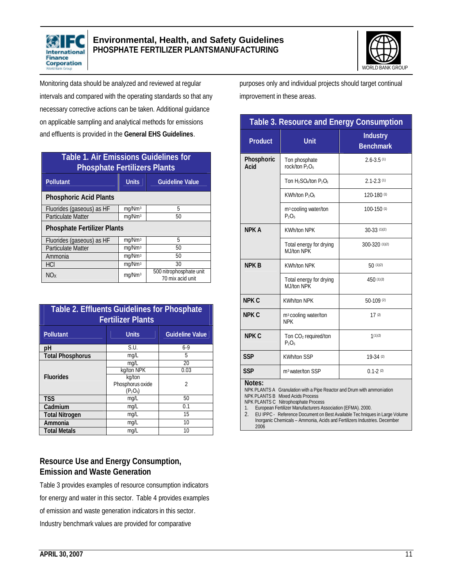



Monitoring data should be analyzed and reviewed at regular intervals and compared with the operating standards so that any necessary corrective actions can be taken. Additional guidance on applicable sampling and analytical methods for emissions and effluents is provided in the **General EHS Guidelines**.

| <b>Table 1. Air Emissions Guidelines for</b><br><b>Phosphate Fertilizers Plants</b> |                    |                                             |  |  |  |
|-------------------------------------------------------------------------------------|--------------------|---------------------------------------------|--|--|--|
| <b>Pollutant</b>                                                                    | <b>Units</b>       | <b>Guideline Value</b>                      |  |  |  |
| <b>Phosphoric Acid Plants</b>                                                       |                    |                                             |  |  |  |
| Fluorides (gaseous) as HF                                                           | mg/Nm <sup>3</sup> | 5                                           |  |  |  |
| <b>Particulate Matter</b>                                                           | mg/Nm <sup>3</sup> | 50                                          |  |  |  |
| <b>Phosphate Fertilizer Plants</b>                                                  |                    |                                             |  |  |  |
| Fluorides (gaseous) as HF                                                           | mg/Nm <sup>3</sup> | 5                                           |  |  |  |
| <b>Particulate Matter</b>                                                           | mg/Nm <sup>3</sup> | 50                                          |  |  |  |
| Ammonia                                                                             | mg/Nm <sup>3</sup> | 50                                          |  |  |  |
| <b>HCI</b>                                                                          | mg/Nm <sup>3</sup> | 30                                          |  |  |  |
| NO <sub>x</sub>                                                                     | mg/Nm <sup>3</sup> | 500 nitrophosphate unit<br>70 mix acid unit |  |  |  |

| <b>Table 2. Effluents Guidelines for Phosphate</b><br><b>Fertilizer Plants</b> |                                          |                        |  |  |  |
|--------------------------------------------------------------------------------|------------------------------------------|------------------------|--|--|--|
| Pollutant                                                                      | <b>Units</b>                             | <b>Guideline Value</b> |  |  |  |
| рH                                                                             | S.U.                                     | $6-9$                  |  |  |  |
| <b>Total Phosphorus</b>                                                        | mg/L                                     | 5                      |  |  |  |
| <b>Fluorides</b>                                                               | mg/L                                     | 20                     |  |  |  |
|                                                                                | kg/ton NPK                               | 0.03                   |  |  |  |
|                                                                                | kg/ton<br>Phosphorus oxide<br>$(P_2O_5)$ | $\mathfrak{D}$         |  |  |  |
| <b>TSS</b>                                                                     | mg/L                                     | 50                     |  |  |  |
| Cadmium                                                                        | mq/L                                     | 0.1                    |  |  |  |
| <b>Total Nitrogen</b>                                                          | mq/L                                     | 15                     |  |  |  |
| Ammonia                                                                        | mq/L                                     | 10                     |  |  |  |
| <b>Total Metals</b>                                                            | mq/L                                     | 10                     |  |  |  |

#### **Resource Use and Energy Consumption, Emission and Waste Generation**

Table 3 provides examples of resource consumption indicators for energy and water in this sector. Table 4 provides examples of emission and waste generation indicators in this sector. Industry benchmark values are provided for comparative

purposes only and individual projects should target continual improvement in these areas.

| <b>Table 3. Resource and Energy Consumption</b>                                                                                                                                                                                                                                                                                                                                                                  |                                                |                                     |  |  |
|------------------------------------------------------------------------------------------------------------------------------------------------------------------------------------------------------------------------------------------------------------------------------------------------------------------------------------------------------------------------------------------------------------------|------------------------------------------------|-------------------------------------|--|--|
| <b>Product</b>                                                                                                                                                                                                                                                                                                                                                                                                   | <b>Unit</b>                                    | <b>Industry</b><br><b>Benchmark</b> |  |  |
| Phosphoric<br>Acid                                                                                                                                                                                                                                                                                                                                                                                               | Ton phosphate<br>rock/ton $P_2O_5$             | $2.6 - 3.5(1)$                      |  |  |
|                                                                                                                                                                                                                                                                                                                                                                                                                  | Ton $H_2SO_4$ /ton $P_2O_5$                    | $2.1 - 2.3(1)$                      |  |  |
|                                                                                                                                                                                                                                                                                                                                                                                                                  | KWh/ton P <sub>2</sub> O <sub>5</sub>          | 120-180 (1)                         |  |  |
|                                                                                                                                                                                                                                                                                                                                                                                                                  | m <sup>3</sup> cooling water/ton<br>$P_2O_5$   | 100-150 (1)                         |  |  |
| <b>NPK A</b>                                                                                                                                                                                                                                                                                                                                                                                                     | <b>KWh/ton NPK</b>                             | 30-33 (1)(2)                        |  |  |
|                                                                                                                                                                                                                                                                                                                                                                                                                  | Total energy for drying<br>MJ/ton NPK          | 300-320 (1)(2)                      |  |  |
| <b>NPK B</b>                                                                                                                                                                                                                                                                                                                                                                                                     | <b>KWh/ton NPK</b>                             | 50(1)(2)                            |  |  |
|                                                                                                                                                                                                                                                                                                                                                                                                                  | Total energy for drying<br>M I/ton NPK         | 450(1)(2)                           |  |  |
| <b>NPK C</b>                                                                                                                                                                                                                                                                                                                                                                                                     | <b>KWh/ton NPK</b>                             | $50-109(2)$                         |  |  |
| NPK C                                                                                                                                                                                                                                                                                                                                                                                                            | m <sup>3</sup> cooling water/ton<br><b>NPK</b> | 17(2)                               |  |  |
| <b>NPK C</b>                                                                                                                                                                                                                                                                                                                                                                                                     | Ton CO <sub>2</sub> required/ton<br>$P_2O_5$   | 1(1)(2)                             |  |  |
| <b>SSP</b>                                                                                                                                                                                                                                                                                                                                                                                                       | <b>KWh/ton SSP</b>                             | 19-34 (2)                           |  |  |
| <b>SSP</b>                                                                                                                                                                                                                                                                                                                                                                                                       | m <sup>3</sup> water/ton SSP                   | $0.1 - 2(2)$                        |  |  |
| Notes:<br>NPK PLANTS A Granulation with a Pipe Reactor and Drum with ammoniation<br><b>NPK PLANTS B Mixed Acids Process</b><br>NPK PLANTS C Nitrophosphate Process<br>European Fertilizer Manufacturers Association (EFMA). 2000.<br>1.<br>2.<br>EU IPPC - Reference Document on Best Available Tec hniques in Large Volume<br>Inorganic Chemicals - Ammonia, Acids and Fertilizers Industries. December<br>2006 |                                                |                                     |  |  |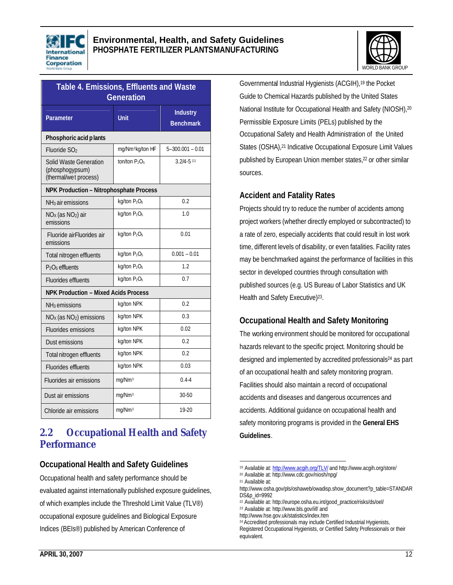



| Table 4. Emissions, Effluents and Waste<br><b>Generation</b>       |                                      |                                     |  |  |  |
|--------------------------------------------------------------------|--------------------------------------|-------------------------------------|--|--|--|
| Parameter                                                          | <b>Unit</b>                          | <b>Industry</b><br><b>Benchmark</b> |  |  |  |
| Phosphoric acid plants                                             |                                      |                                     |  |  |  |
| Fluoride SO <sub>2</sub>                                           | mg/Nm <sup>3</sup> kg/ton HF         | $5 - 300.001 - 0.01$                |  |  |  |
| Solid Waste Generation<br>(phosphogypsum)<br>(thermal/wet process) | ton/ton $P_2O_5$                     | $3.2/4 - 5$ <sup>(1)</sup>          |  |  |  |
| NPK Production - Nitrophosphate Process                            |                                      |                                     |  |  |  |
| NH <sub>3</sub> air emissions                                      | kg/ton P <sub>2</sub> O <sub>5</sub> | 0.2                                 |  |  |  |
| NO <sub>x</sub> (as NO <sub>2</sub> ) air<br>emissions             | kq/ton P <sub>2</sub> O <sub>5</sub> | 1.0                                 |  |  |  |
| Fluoride airFluorides air<br>emissions                             | kg/ton P <sub>2</sub> O <sub>5</sub> | 0.01                                |  |  |  |
| Total nitrogen effluents                                           | kg/ton P <sub>2</sub> O <sub>5</sub> | $0.001 - 0.01$                      |  |  |  |
| P <sub>2</sub> O <sub>5</sub> effluents                            | kg/ton P <sub>2</sub> O <sub>5</sub> | 1.2                                 |  |  |  |
| <b>Fluorides effluents</b>                                         | kg/ton P <sub>2</sub> O <sub>5</sub> | 0.7                                 |  |  |  |
| <b>NPK Production - Mixed Acids Process</b>                        |                                      |                                     |  |  |  |
| NH <sub>3</sub> emissions                                          | kg/ton NPK                           | 0.2                                 |  |  |  |
| NO <sub>x</sub> (as NO <sub>2</sub> ) emissions                    | kg/ton NPK                           | 0.3                                 |  |  |  |
| <b>Fluorides emissions</b>                                         | kg/ton NPK                           | 0.02                                |  |  |  |
| Dust emissions                                                     | kg/ton NPK                           | 0.2                                 |  |  |  |
| Total nitrogen effluents                                           | kg/ton NPK                           | 0.2                                 |  |  |  |
| Fluorides effluents                                                | kg/ton NPK                           | 0.03                                |  |  |  |
| <b>Fluorides air emissions</b>                                     | mg/Nm <sup>3</sup>                   | $0.4 - 4$                           |  |  |  |
| Dust air emissions                                                 | mg/Nm <sup>3</sup>                   | 30-50                               |  |  |  |
| Chloride air emissions                                             | mg/Nm <sup>3</sup>                   | $19-20$                             |  |  |  |

## **2.2 Occupational Health and Safety Performance**

#### **Occupational Health and Safety Guidelines**

Occupational health and safety performance should be evaluated against internationally published exposure guidelines, of which examples include the Threshold Limit Value (TLV®) occupational exposure guidelines and Biological Exposure Indices (BEIs®) published by American Conference of

Governmental Industrial Hygienists (ACGIH),19 the Pocket Guide to Chemical Hazards published by the United States National Institute for Occupational Health and Safety (NIOSH),<sup>20</sup> Permissible Exposure Limits (PELs) published by the Occupational Safety and Health Administration of the United States (OSHA),<sup>21</sup> Indicative Occupational Exposure Limit Values published by European Union member states,<sup>22</sup> or other similar sources.

#### **Accident and Fatality Rates**

Projects should try to reduce the number of accidents among project workers (whether directly employed or subcontracted) to a rate of zero, especially accidents that could result in lost work time, different levels of disability, or even fatalities. Facility rates may be benchmarked against the performance of facilities in this sector in developed countries through consultation with published sources (e.g. US Bureau of Labor Statistics and UK Health and Safety Executive)<sup>23</sup>.

### **Occupational Health and Safety Monitoring**

The working environment should be monitored for occupational hazards relevant to the specific project. Monitoring should be designed and implemented by accredited professionals<sup>24</sup> as part of an occupational health and safety monitoring program. Facilities should also maintain a record of occupational accidents and diseases and dangerous occurrences and accidents. Additional guidance on occupational health and safety monitoring programs is provided in the **General EHS Guidelines**.

l <sup>19</sup> Available at: http://www.acgih.org/TLV/ and http://www.acgih.org/store/

<sup>20</sup> Available at: http://www.cdc.gov/niosh/npg/

<sup>21</sup> Available at:

http://www.osha.gov/pls/oshaweb/owadisp.show\_document?p\_table=STANDAR DS&p\_id=9992

<sup>22</sup> Available at: http://europe.osha.eu.int/good\_practice/risks/ds/oel/

<sup>23</sup> Available at: http://www.bls.gov/iif/ and http://www.hse.gov.uk/statistics/index.htm

<sup>&</sup>lt;sup>24</sup> Accredited professionals may include Certified Industrial Hygienists, Registered Occupational Hygienists, or Certified Safety Professionals or their equivalent.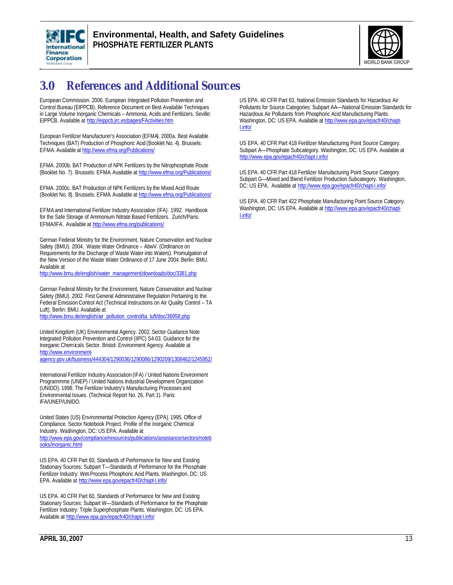



## **3.0 References and Additional Sources**

European Commission. 2006. European Integrated Pollution Prevention and Control Bureau (EIPPCB). Reference Document on Best Available Techniques in Large Volume Inorganic Chemicals – Ammonia, Acids and Fertilizers. Seville: EIPPCB. Available at http://eippcb.jrc.es/pages/FActivities.htm

European Fertilizer Manufacturer's Association (EFMA). 2000a. Best Available Techniques (BAT) Production of Phosphoric Acid (Booklet No. 4). Brussels: EFMA. Available at http://www.efma.org/Publications/

EFMA. 2000b. BAT Production of NPK Fertilizers by the Nitrophosphate Route (Booklet No. 7). Brussels: EFMA. Available at http://www.efma.org/Publications/

EFMA. 2000c. BAT Production of NPK Fertilizers by the Mixed Acid Route (Booklet No. 8). Brussels: EFMA. Available at http://www.efma.org/Publications/

EFMA and International Fertilizer Industry Association (IFA). 1992. Handbook for the Safe Storage of Ammonium Nitrate Based Fertilizers. Zurich/Paris: EFMA/IFA. Available at http://www.efma.org/publications/

German Federal Ministry for the Environment, Nature Conservation and Nuclear Safety (BMU). 2004. Waste Water Ordinance – AbwV. (Ordinance on Requirements for the Discharge of Waste Water into Waters). Promulgation of the New Version of the Waste Water Ordinance of 17 June 2004. Berlin: BMU. Available at

http://www.bmu.de/english/water\_management/downloads/doc/3381.php

German Federal Ministry for the Environment, Nature Conservation and Nuclear Safety (BMU). 2002. First General Administrative Regulation Pertaining to the Federal Emission Control Act (Technical Instructions on Air Quality Control – TA Luft). Berlin: BMU. Available at

http://www.bmu.de/english/air\_pollution\_control/ta\_luft/doc/36958.php

United Kingdom (UK) Environmental Agency. 2002. Sector Guidance Note Integrated Pollution Prevention and Control (IIPC) S4.03. Guidance for the Inorganic Chemicals Sector. Bristol: Environment Agency. Available at http://www.environment-

agency.gov.uk/business/444304/1290036/1290086/1290209/1308462/1245952/

International Fertilizer Industry Association (IFA) / United Nations Environment Programmme (UNEP) / United Nations Industrial Development Organization (UNIDO). 1998. The Fertilizer Industry's Manufacturing Processes and Environmental Issues. (Technical Report No. 26, Part 1). Paris: IFA/UNEP/UNIDO.

United States (US) Environmental Protection Agency (EPA). 1995. Office of Compliance. Sector Notebook Project. Profile of the Inorganic Chemical Industry. Washington, DC: US EPA. Available at http://www.epa.gov/compliance/resources/publications/assistance/sectors/noteb ooks/inorganic.html

US EPA. 40 CFR Part 60, Standards of Performance for New and Existing Stationary Sources: Subpart T—Standards of Performance for the Phosphate Fertilizer Industry: Wet-Process Phosphoric Acid Plants. Washington, DC: US EPA. Available at http://www.epa.gov/epacfr40/chapt-I.info/

US EPA. 40 CFR Part 60, Standards of Performance for New and Existing Stationary Sources: Subpart W—Standards of Performance for the Phosphate Fertilizer Industry: Triple Superphosphate Plants. Washington, DC: US EPA. Available at http://www.epa.gov/epacfr40/chapt-I.info/

US EPA. 40 CFR Part 63, National Emission Standards for Hazardous Air Pollutants for Source Categories: Subpart AA—National Emission Standards for Hazardous Air Pollutants from Phosphoric Acid Manufacturing Plants. Washington, DC: US EPA. Available at http://www.epa.gov/epacfr40/chapt-I.info/

US EPA. 40 CFR Part 418 Fertilizer Manufacturing Point Source Category. Subpart A—Phosphate Subcategory. Washington, DC: US EPA. Available at http://www.epa.gov/epacfr40/chapt-I.info/

US EPA. 40 CFR Part 418 Fertilizer Manufacturing Point Source Category. Subpart G—Mixed and Blend Fertilizer Production Subcategory. Washington, DC: US EPA. Available at http://www.epa.gov/epacfr40/chapt-I.info/

US EPA. 40 CFR Part 422 Phosphate Manufacturing Point Source Category. Washington, DC: US EPA. Available at http://www.epa.gov/epacfr40/chapt-I.info/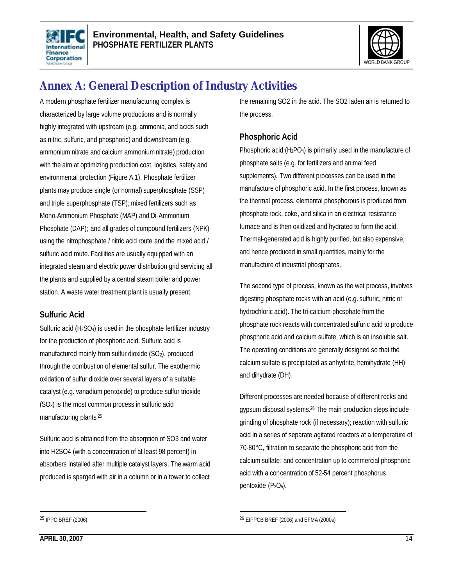



## **Annex A: General Description of Industry Activities**

A modern phosphate fertilizer manufacturing complex is characterized by large volume productions and is normally highly integrated with upstream (e.g. ammonia, and acids such as nitric, sulfuric, and phosphoric) and downstream (e.g. ammonium nitrate and calcium ammonium nitrate) production with the aim at optimizing production cost, logistics, safety and environmental protection (Figure A.1). Phosphate fertilizer plants may produce single (or normal) superphosphate (SSP) and triple superphosphate (TSP); mixed fertilizers such as Mono-Ammonium Phosphate (MAP) and Di-Ammonium Phosphate (DAP); and all grades of compound fertilizers (NPK) using the nitrophosphate / nitric acid route and the mixed acid / sulfuric acid route. Facilities are usually equipped with an integrated steam and electric power distribution grid servicing all the plants and supplied by a central steam boiler and power station. A waste water treatment plant is usually present.

#### **Sulfuric Acid**

Sulfuric acid (H<sub>2</sub>SO<sub>4</sub>) is used in the phosphate fertilizer industry for the production of phosphoric acid. Sulfuric acid is manufactured mainly from sulfur dioxide (SO<sub>2</sub>), produced through the combustion of elemental sulfur. The exothermic oxidation of sulfur dioxide over several layers of a suitable catalyst (e.g. vanadium pentoxide) to produce sulfur trioxide (SO3) is the most common process in sulfuric acid manufacturing plants.<sup>25</sup>

Sulfuric acid is obtained from the absorption of SO3 and water into H2SO4 (with a concentration of at least 98 percent) in absorbers installed after multiple catalyst layers. The warm acid produced is sparged with air in a column or in a tower to collect

the remaining SO2 in the acid. The SO2 laden air is returned to the process.

#### **Phosphoric Acid**

Phosphoric acid (H3PO4) is primarily used in the manufacture of phosphate salts (e.g. for fertilizers and animal feed supplements). Two different processes can be used in the manufacture of phosphoric acid. In the first process, known as the thermal process, elemental phosphorous is produced from phosphate rock, coke, and silica in an electrical resistance furnace and is then oxidized and hydrated to form the acid. Thermal-generated acid is highly purified, but also expensive, and hence produced in small quantities, mainly for the manufacture of industrial phosphates.

The second type of process, known as the wet process, involves digesting phosphate rocks with an acid (e.g. sulfuric, nitric or hydrochloric acid). The tri-calcium phosphate from the phosphate rock reacts with concentrated sulfuric acid to produce phosphoric acid and calcium sulfate, which is an insoluble salt. The operating conditions are generally designed so that the calcium sulfate is precipitated as anhydrite, hemihydrate (HH) and dihydrate (DH).

Different processes are needed because of different rocks and gypsum disposal systems.<sup>26</sup> The main production steps include grinding of phosphate rock (if necessary); reaction with sulfuric acid in a series of separate agitated reactors at a temperature of 70-80°C, filtration to separate the phosphoric acid from the calcium sulfate; and concentration up to commercial phosphoric acid with a concentration of 52-54 percent phosphorus pentoxide  $(P_2O_5)$ .

 $\overline{a}$ 

<sup>25</sup> IPPC BREF (2006)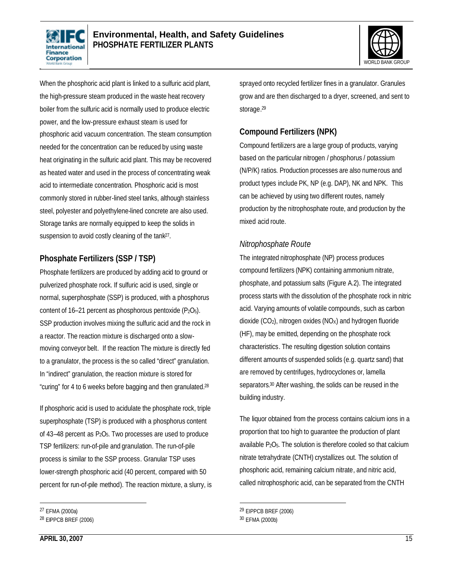



When the phosphoric acid plant is linked to a sulfuric acid plant, the high-pressure steam produced in the waste heat recovery boiler from the sulfuric acid is normally used to produce electric power, and the low-pressure exhaust steam is used for phosphoric acid vacuum concentration. The steam consumption needed for the concentration can be reduced by using waste heat originating in the sulfuric acid plant. This may be recovered as heated water and used in the process of concentrating weak acid to intermediate concentration. Phosphoric acid is most commonly stored in rubber-lined steel tanks, although stainless steel, polyester and polyethylene-lined concrete are also used. Storage tanks are normally equipped to keep the solids in suspension to avoid costly cleaning of the tank<sup>27</sup>.

### **Phosphate Fertilizers (SSP / TSP)**

Phosphate fertilizers are produced by adding acid to ground or pulverized phosphate rock. If sulfuric acid is used, single or normal, superphosphate (SSP) is produced, with a phosphorus content of  $16-21$  percent as phosphorous pentoxide ( $P_2O_5$ ). SSP production involves mixing the sulfuric acid and the rock in a reactor. The reaction mixture is discharged onto a slowmoving conveyor belt. If the reaction The mixture is directly fed to a granulator, the process is the so called "direct" granulation. In "indirect" granulation, the reaction mixture is stored for "curing" for 4 to 6 weeks before bagging and then granulated. 28

If phosphoric acid is used to acidulate the phosphate rock, triple superphosphate (TSP) is produced with a phosphorus content of 43–48 percent as P2O5. Two processes are used to produce TSP fertilizers: run-of-pile and granulation. The run-of-pile process is similar to the SSP process. Granular TSP uses lower-strength phosphoric acid (40 percent, compared with 50 percent for run-of-pile method). The reaction mixture, a slurry, is

l

sprayed onto recycled fertilizer fines in a granulator. Granules grow and are then discharged to a dryer, screened, and sent to storage. 29

### **Compound Fertilizers (NPK)**

Compound fertilizers are a large group of products, varying based on the particular nitrogen / phosphorus / potassium (N/P/K) ratios. Production processes are also numerous and product types include PK, NP (e.g. DAP), NK and NPK. This can be achieved by using two different routes, namely production by the nitrophosphate route, and production by the mixed acid route.

#### *Nitrophosphate Route*

The integrated nitrophosphate (NP) process produces compound fertilizers (NPK) containing ammonium nitrate, phosphate, and potassium salts (Figure A.2). The integrated process starts with the dissolution of the phosphate rock in nitric acid. Varying amounts of volatile compounds, such as carbon dioxide  $(CO_2)$ , nitrogen oxides  $(NOx)$  and hydrogen fluoride (HF), may be emitted, depending on the phosphate rock characteristics. The resulting digestion solution contains different amounts of suspended solids (e.g. quartz sand) that are removed by centrifuges, hydrocyclones or, lamella separators. <sup>30</sup> After washing, the solids can be reused in the building industry.

The liquor obtained from the process contains calcium ions in a proportion that too high to guarantee the production of plant available P2O5. The solution is therefore cooled so that calcium nitrate tetrahydrate (CNTH) crystallizes out. The solution of phosphoric acid, remaining calcium nitrate, and nitric acid, called nitrophosphoric acid, can be separated from the CNTH

l

<sup>27</sup> EFMA (2000a)

<sup>28</sup> EIPPCB BREF (2006)

<sup>29</sup> EIPPCB BREF (2006)

<sup>30</sup> EFMA (2000b)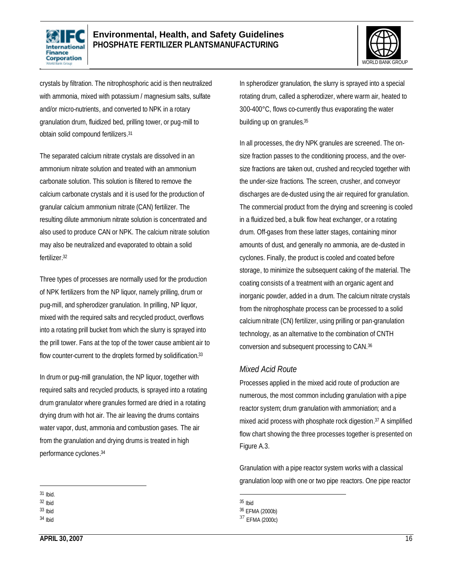



crystals by filtration. The nitrophosphoric acid is then neutralized with ammonia, mixed with potassium / magnesium salts, sulfate and/or micro-nutrients, and converted to NPK in a rotary granulation drum, fluidized bed, prilling tower, or pug-mill to obtain solid compound fertilizers. 31

The separated calcium nitrate crystals are dissolved in an ammonium nitrate solution and treated with an ammonium carbonate solution. This solution is filtered to remove the calcium carbonate crystals and it is used for the production of granular calcium ammonium nitrate (CAN) fertilizer. The resulting dilute ammonium nitrate solution is concentrated and also used to produce CAN or NPK. The calcium nitrate solution may also be neutralized and evaporated to obtain a solid fertilizer. 32

Three types of processes are normally used for the production of NPK fertilizers from the NP liquor, namely prilling, drum or pug-mill, and spherodizer granulation. In prilling, NP liquor, mixed with the required salts and recycled product, overflows into a rotating prill bucket from which the slurry is sprayed into the prill tower. Fans at the top of the tower cause ambient air to flow counter-current to the droplets formed by solidification.<sup>33</sup>

In drum or pug-mill granulation, the NP liquor, together with required salts and recycled products, is sprayed into a rotating drum granulator where granules formed are dried in a rotating drying drum with hot air. The air leaving the drums contains water vapor, dust, ammonia and combustion gases. The air from the granulation and drying drums is treated in high performance cyclones. 34

- $\overline{a}$ 31 Ibid.
- 32 Ibid
- 33 Ibid
- 34 Ibid

In spherodizer granulation, the slurry is sprayed into a special rotating drum, called a spherodizer, where warm air, heated to 300-400°C, flows co-currently thus evaporating the water building up on granules. 35

In all processes, the dry NPK granules are screened. The onsize fraction passes to the conditioning process, and the oversize fractions are taken out, crushed and recycled together with the under-size fractions. The screen, crusher, and conveyor discharges are de-dusted using the air required for granulation. The commercial product from the drying and screening is cooled in a fluidized bed, a bulk flow heat exchanger, or a rotating drum. Off-gases from these latter stages, containing minor amounts of dust, and generally no ammonia, are de-dusted in cyclones. Finally, the product is cooled and coated before storage, to minimize the subsequent caking of the material. The coating consists of a treatment with an organic agent and inorganic powder, added in a drum. The calcium nitrate crystals from the nitrophosphate process can be processed to a solid calciumnitrate (CN) fertilizer, using prilling or pan-granulation technology, as an alternative to the combination of CNTH conversion and subsequent processing to CAN. 36

#### *Mixed Acid Route*

Processes applied in the mixed acid route of production are numerous, the most common including granulation with a pipe reactor system; drum granulation with ammoniation; and a mixed acid process with phosphate rock digestion. <sup>37</sup> A simplified flow chart showing the three processes together is presented on Figure A.3.

Granulation with a pipe reactor system works with a classical granulation loop with one or two pipe reactors. One pipe reactor

1

<sup>35</sup> Ibid

<sup>36</sup> EFMA (2000b)

<sup>37</sup> EFMA (2000c)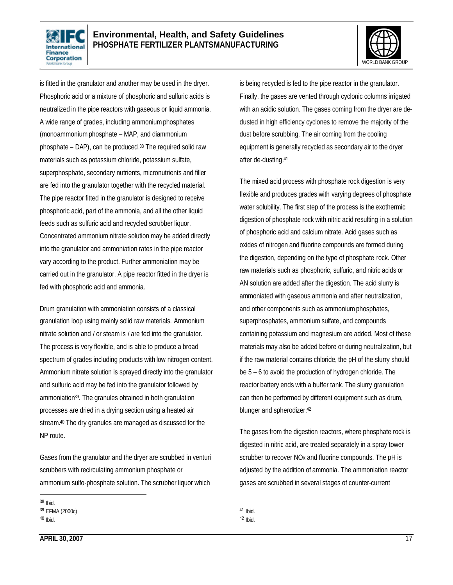



is fitted in the granulator and another may be used in the dryer. Phosphoric acid or a mixture of phosphoric and sulfuric acids is neutralized in the pipe reactors with gaseous or liquid ammonia. A wide range of grades, including ammoniumphosphates (monoammonium phosphate – MAP, and diammonium phosphate – DAP), can be produced. <sup>38</sup> The required solid raw materials such as potassium chloride, potassium sulfate, superphosphate, secondary nutrients, micronutrients and filler are fed into the granulator together with the recycled material. The pipe reactor fitted in the granulator is designed to receive phosphoric acid, part of the ammonia, and all the other liquid feeds such as sulfuric acid and recycled scrubber liquor. Concentrated ammonium nitrate solution may be added directly into the granulator and ammoniation rates in the pipe reactor vary according to the product. Further ammoniation may be carried out in the granulator. A pipe reactor fitted in the dryer is fed with phosphoric acid and ammonia.

Drum granulation with ammoniation consists of a classical granulation loop using mainly solid raw materials. Ammonium nitrate solution and / or steam is / are fed into the granulator. The process is very flexible, and is able to produce a broad spectrum of grades including products with low nitrogen content. Ammonium nitrate solution is sprayed directly into the granulator and sulfuric acid may be fed into the granulator followed by ammoniation<sup>39</sup>. The granules obtained in both granulation processes are dried in a drying section using a heated air stream. <sup>40</sup> The dry granules are managed as discussed for the NP route.

Gases from the granulator and the dryer are scrubbed in venturi scrubbers with recirculating ammonium phosphate or ammonium sulfo-phosphate solution. The scrubber liquor which

is being recycled is fed to the pipe reactor in the granulator. Finally, the gases are vented through cyclonic columns irrigated with an acidic solution. The gases coming from the dryer are dedusted in high efficiency cyclones to remove the majority of the dust before scrubbing. The air coming from the cooling equipment is generally recycled as secondary air to the dryer after de-dusting. 41

The mixed acid process with phosphate rock digestion is very flexible and produces grades with varying degrees of phosphate water solubility. The first step of the process is the exothermic digestion of phosphate rock with nitric acid resulting in a solution of phosphoric acid and calcium nitrate. Acid gases such as oxides of nitrogen and fluorine compounds are formed during the digestion, depending on the type of phosphate rock. Other raw materials such as phosphoric, sulfuric, and nitric acids or AN solution are added after the digestion. The acid slurry is ammoniated with gaseous ammonia and after neutralization, and other components such as ammonium phosphates, superphosphates, ammonium sulfate, and compounds containing potassium and magnesium are added. Most of these materials may also be added before or during neutralization, but if the raw material contains chloride, the pH of the slurry should be 5 – 6 to avoid the production of hydrogen chloride. The reactor battery ends with a buffer tank. The slurry granulation can then be performed by different equipment such as drum, blunger and spherodizer. 42

The gases from the digestion reactors, where phosphate rock is digested in nitric acid, are treated separately in a spray tower scrubber to recover  $NO<sub>x</sub>$  and fluorine compounds. The pH is adjusted by the addition of ammonia. The ammoniation reactor gases are scrubbed in several stages of counter-current

 $\overline{a}$ 38 Ibid.

<sup>39</sup> EFMA (2000c)

<sup>40</sup> Ibid.

l 41 Ibid.

<sup>42</sup> Ibid.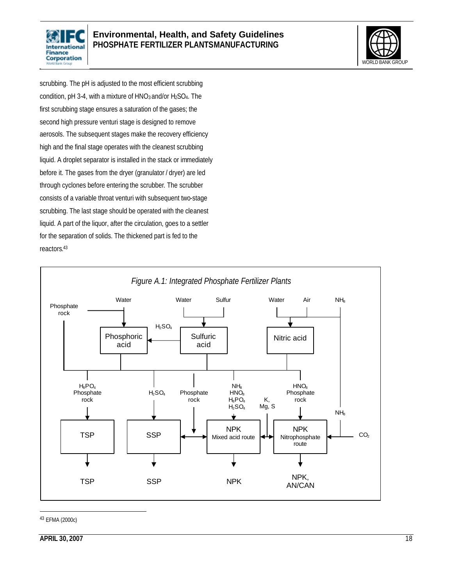



scrubbing. The pH is adjusted to the most efficient scrubbing condition, pH 3-4, with a mixture of HNO3 and/or H2SO4. The first scrubbing stage ensures a saturation of the gases; the second high pressure venturi stage is designed to remove aerosols. The subsequent stages make the recovery efficiency high and the final stage operates with the cleanest scrubbing liquid. A droplet separator is installed in the stack or immediately before it. The gases from the dryer (granulator / dryer) are led through cyclones before entering the scrubber. The scrubber consists of a variable throat venturi with subsequent two-stage scrubbing. The last stage should be operated with the cleanest liquid. A part of the liquor, after the circulation, goes to a settler for the separation of solids. The thickened part is fed to the reactors. 43



43 EFMA (2000c)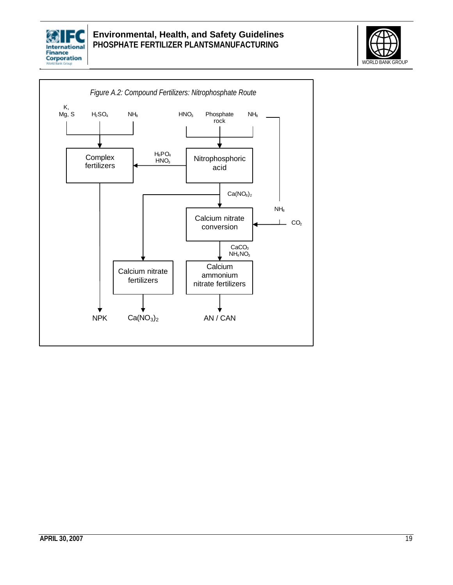